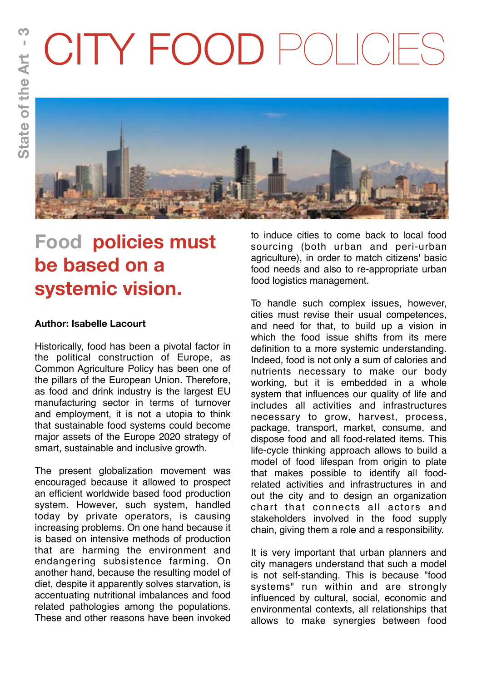# CITY FOOD POLICIES



# **Food policies must be based on a systemic vision.**

## **Author: Isabelle Lacourt**

Historically, food has been a pivotal factor in the political construction of Europe, as Common Agriculture Policy has been one of the pillars of the European Union. Therefore, as food and drink industry is the largest EU manufacturing sector in terms of turnover and employment, it is not a utopia to think that sustainable food systems could become major assets of the Europe 2020 strategy of smart, sustainable and inclusive growth.

The present globalization movement was encouraged because it allowed to prospect an efficient worldwide based food production system. However, such system, handled today by private operators, is causing increasing problems. On one hand because it is based on intensive methods of production that are harming the environment and endangering subsistence farming. On another hand, because the resulting model of diet, despite it apparently solves starvation, is accentuating nutritional imbalances and food related pathologies among the populations. These and other reasons have been invoked

to induce cities to come back to local food sourcing (both urban and peri-urban agriculture), in order to match citizens' basic food needs and also to re-appropriate urban food logistics management.

To handle such complex issues, however, cities must revise their usual competences, and need for that, to build up a vision in which the food issue shifts from its mere definition to a more systemic understanding. Indeed, food is not only a sum of calories and nutrients necessary to make our body working, but it is embedded in a whole system that influences our quality of life and includes all activities and infrastructures necessary to grow, harvest, process, package, transport, market, consume, and dispose food and all food-related items. This life-cycle thinking approach allows to build a model of food lifespan from origin to plate that makes possible to identify all foodrelated activities and infrastructures in and out the city and to design an organization chart that connects all actors and stakeholders involved in the food supply chain, giving them a role and a responsibility.

It is very important that urban planners and city managers understand that such a model is not self-standing. This is because "food systems" run within and are strongly influenced by cultural, social, economic and environmental contexts, all relationships that allows to make synergies between food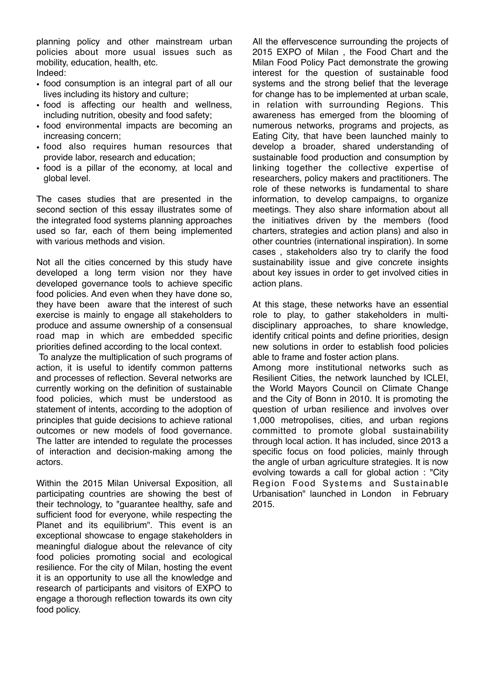planning policy and other mainstream urban policies about more usual issues such as mobility, education, health, etc. Indeed:

- food consumption is an integral part of all our lives including its history and culture;
- food is affecting our health and wellness, including nutrition, obesity and food safety;
- food environmental impacts are becoming an increasing concern;
- food also requires human resources that provide labor, research and education;
- food is a pillar of the economy, at local and global level.

The cases studies that are presented in the second section of this essay illustrates some of the integrated food systems planning approaches used so far, each of them being implemented with various methods and vision.

Not all the cities concerned by this study have developed a long term vision nor they have developed governance tools to achieve specific food policies. And even when they have done so, they have been aware that the interest of such exercise is mainly to engage all stakeholders to produce and assume ownership of a consensual road map in which are embedded specific priorities defined according to the local context.

 To analyze the multiplication of such programs of action, it is useful to identify common patterns and processes of reflection. Several networks are currently working on the definition of sustainable food policies, which must be understood as statement of intents, according to the adoption of principles that guide decisions to achieve rational outcomes or new models of food governance. The latter are intended to regulate the processes of interaction and decision-making among the actors.

Within the 2015 Milan Universal Exposition, all participating countries are showing the best of their technology, to "guarantee healthy, safe and sufficient food for everyone, while respecting the Planet and its equilibrium". This event is an exceptional showcase to engage stakeholders in meaningful dialogue about the relevance of city food policies promoting social and ecological resilience. For the city of Milan, hosting the event it is an opportunity to use all the knowledge and research of participants and visitors of EXPO to engage a thorough reflection towards its own city food policy.

All the effervescence surrounding the projects of 2015 EXPO of Milan , the Food Chart and the Milan Food Policy Pact demonstrate the growing interest for the question of sustainable food systems and the strong belief that the leverage for change has to be implemented at urban scale, in relation with surrounding Regions. This awareness has emerged from the blooming of numerous networks, programs and projects, as Eating City, that have been launched mainly to develop a broader, shared understanding of sustainable food production and consumption by linking together the collective expertise of researchers, policy makers and practitioners. The role of these networks is fundamental to share information, to develop campaigns, to organize meetings. They also share information about all the initiatives driven by the members (food charters, strategies and action plans) and also in other countries (international inspiration). In some cases , stakeholders also try to clarify the food sustainability issue and give concrete insights about key issues in order to get involved cities in action plans.

At this stage, these networks have an essential role to play, to gather stakeholders in multidisciplinary approaches, to share knowledge, identify critical points and define priorities, design new solutions in order to establish food policies able to frame and foster action plans.

Among more institutional networks such as Resilient Cities, the network launched by ICLEI, the World Mayors Council on Climate Change and the City of Bonn in 2010. It is promoting the question of urban resilience and involves over 1,000 metropolises, cities, and urban regions committed to promote global sustainability through local action. It has included, since 2013 a specific focus on food policies, mainly through the angle of urban agriculture strategies. It is now evolving towards a call for global action : "City Region Food Systems and Sustainable Urbanisation" launched in London in February 2015.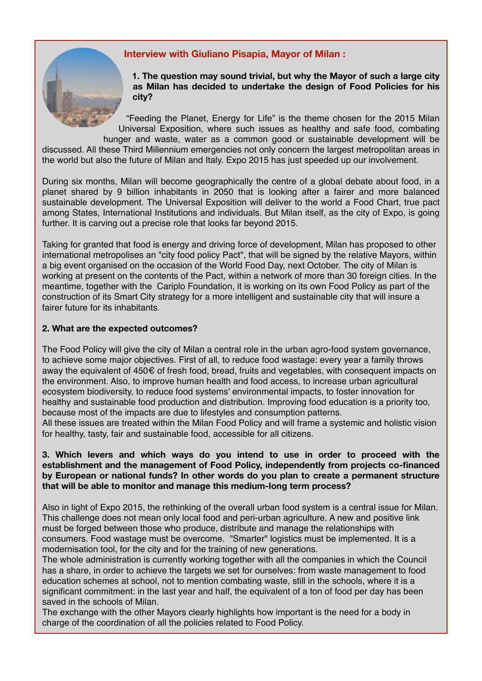### **Interview with Giuliano Pisapia, Mayor of Milan :**

**1. The question may sound trivial, but why the Mayor of such a large city as Milan has decided to undertake the design of Food Policies for his city?**

"Feeding the Planet, Energy for Life" is the theme chosen for the 2015 Milan Universal Exposition, where such issues as healthy and safe food, combating hunger and waste, water as a common good or sustainable development will be discussed. All these Third Millennium emergencies not only concern the largest metropolitan areas in the world but also the future of Milan and Italy. Expo 2015 has just speeded up our involvement.

During six months, Milan will become geographically the centre of a global debate about food, in a planet shared by 9 billion inhabitants in 2050 that is looking after a fairer and more balanced sustainable development. The Universal Exposition will deliver to the world a Food Chart, true pact among States, International Institutions and individuals. But Milan itself, as the city of Expo, is going further. It is carving out a precise role that looks far beyond 2015.

Taking for granted that food is energy and driving force of development, Milan has proposed to other international metropolises an "city food policy Pact", that will be signed by the relative Mayors, within a big event organised on the occasion of the World Food Day, next October. The city of Milan is working at present on the contents of the Pact, within a network of more than 30 foreign cities. In the meantime, together with the Cariplo Foundation, it is working on its own Food Policy as part of the construction of its Smart City strategy for a more intelligent and sustainable city that will insure a fairer future for its inhabitants.

#### **2. What are the expected outcomes?**

The Food Policy will give the city of Milan a central role in the urban agro-food system governance, to achieve some major objectives. First of all, to reduce food wastage: every year a family throws away the equivalent of 450€ of fresh food, bread, fruits and vegetables, with consequent impacts on the environment. Also, to improve human health and food access, to increase urban agricultural ecosystem biodiversity, to reduce food systems' environmental impacts, to foster innovation for healthy and sustainable food production and distribution. Improving food education is a priority too, because most of the impacts are due to lifestyles and consumption patterns.

All these issues are treated within the Milan Food Policy and will frame a systemic and holistic vision for healthy, tasty, fair and sustainable food, accessible for all citizens.

#### **3. Which levers and which ways do you intend to use in order to proceed with the establishment and the management of Food Policy, independently from projects co-financed by European or national funds? In other words do you plan to create a permanent structure that will be able to monitor and manage this medium-long term process?**

Also in light of Expo 2015, the rethinking of the overall urban food system is a central issue for Milan. This challenge does not mean only local food and peri-urban agriculture. A new and positive link must be forged between those who produce, distribute and manage the relationships with consumers. Food wastage must be overcome. "Smarter" logistics must be implemented. It is a modernisation tool, for the city and for the training of new generations.

The whole administration is currently working together with all the companies in which the Council has a share, in order to achieve the targets we set for ourselves: from waste management to food education schemes at school, not to mention combating waste, still in the schools, where it is a significant commitment: in the last year and half, the equivalent of a ton of food per day has been saved in the schools of Milan.

The exchange with the other Mayors clearly highlights how important is the need for a body in charge of the coordination of all the policies related to Food Policy.